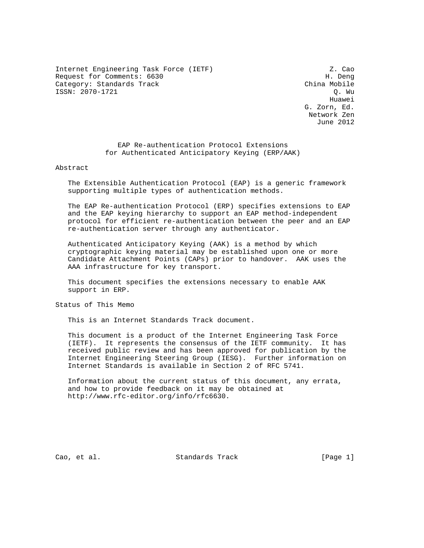Internet Engineering Task Force (IETF)  $Z.$  Cao Request for Comments: 6630 H. Deng Category: Standards Track China Mobile ISSN: 2070-1721 Q. Wu

he distributed by the control of the control of the control of the control of the control of the control of the control of the control of the control of the control of the control of the control of the control of the contr G. Zorn, Ed. Network Zen June 2012

> EAP Re-authentication Protocol Extensions for Authenticated Anticipatory Keying (ERP/AAK)

## Abstract

 The Extensible Authentication Protocol (EAP) is a generic framework supporting multiple types of authentication methods.

 The EAP Re-authentication Protocol (ERP) specifies extensions to EAP and the EAP keying hierarchy to support an EAP method-independent protocol for efficient re-authentication between the peer and an EAP re-authentication server through any authenticator.

 Authenticated Anticipatory Keying (AAK) is a method by which cryptographic keying material may be established upon one or more Candidate Attachment Points (CAPs) prior to handover. AAK uses the AAA infrastructure for key transport.

 This document specifies the extensions necessary to enable AAK support in ERP.

Status of This Memo

This is an Internet Standards Track document.

 This document is a product of the Internet Engineering Task Force (IETF). It represents the consensus of the IETF community. It has received public review and has been approved for publication by the Internet Engineering Steering Group (IESG). Further information on Internet Standards is available in Section 2 of RFC 5741.

 Information about the current status of this document, any errata, and how to provide feedback on it may be obtained at http://www.rfc-editor.org/info/rfc6630.

Cao, et al. Standards Track [Page 1]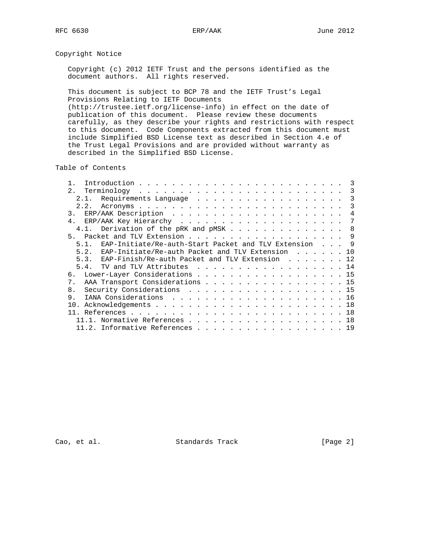# Copyright Notice

 Copyright (c) 2012 IETF Trust and the persons identified as the document authors. All rights reserved.

 This document is subject to BCP 78 and the IETF Trust's Legal Provisions Relating to IETF Documents (http://trustee.ietf.org/license-info) in effect on the date of publication of this document. Please review these documents carefully, as they describe your rights and restrictions with respect to this document. Code Components extracted from this document must include Simplified BSD License text as described in Section 4.e of the Trust Legal Provisions and are provided without warranty as described in the Simplified BSD License.

Table of Contents

| 2.1                                                        | 3              |
|------------------------------------------------------------|----------------|
|                                                            | 3              |
| 2.2.                                                       | 3              |
| $\overline{3}$ .                                           | $\overline{4}$ |
|                                                            | 7              |
| 4.1. Derivation of the pRK and pMSK 8                      |                |
|                                                            |                |
| 5.1. EAP-Initiate/Re-auth-Start Packet and TLV Extension 9 |                |
| 5.2. EAP-Initiate/Re-auth Packet and TLV Extension 10      |                |
| 5.3. EAP-Finish/Re-auth Packet and TLV Extension 12        |                |
| 5.4. TV and TLV Attributes 14                              |                |
| 6. Lower-Layer Considerations 15                           |                |
| AAA Transport Considerations 15<br>7.                      |                |
| Security Considerations 15<br>8 <sub>1</sub>               |                |
| 9.                                                         |                |
|                                                            |                |
|                                                            |                |
| 11.1. Normative References 18                              |                |
| 11.2. Informative References 19                            |                |
|                                                            |                |

Cao, et al. Standards Track [Page 2]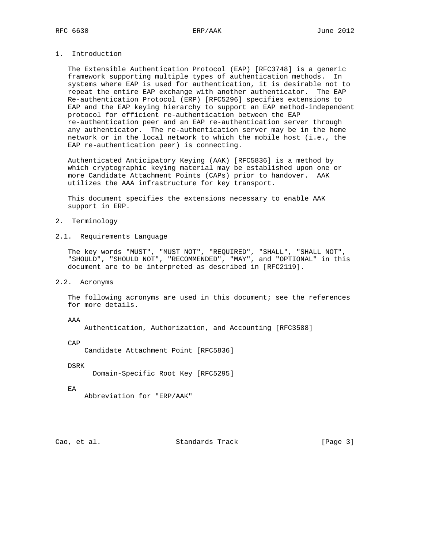# 1. Introduction

 The Extensible Authentication Protocol (EAP) [RFC3748] is a generic framework supporting multiple types of authentication methods. In systems where EAP is used for authentication, it is desirable not to repeat the entire EAP exchange with another authenticator. The EAP Re-authentication Protocol (ERP) [RFC5296] specifies extensions to EAP and the EAP keying hierarchy to support an EAP method-independent protocol for efficient re-authentication between the EAP re-authentication peer and an EAP re-authentication server through any authenticator. The re-authentication server may be in the home network or in the local network to which the mobile host (i.e., the EAP re-authentication peer) is connecting.

 Authenticated Anticipatory Keying (AAK) [RFC5836] is a method by which cryptographic keying material may be established upon one or more Candidate Attachment Points (CAPs) prior to handover. AAK utilizes the AAA infrastructure for key transport.

 This document specifies the extensions necessary to enable AAK support in ERP.

- 2. Terminology
- 2.1. Requirements Language

 The key words "MUST", "MUST NOT", "REQUIRED", "SHALL", "SHALL NOT", "SHOULD", "SHOULD NOT", "RECOMMENDED", "MAY", and "OPTIONAL" in this document are to be interpreted as described in [RFC2119].

2.2. Acronyms

The following acronyms are used in this document; see the references for more details.

AAA

Authentication, Authorization, and Accounting [RFC3588]

CAP

Candidate Attachment Point [RFC5836]

DSRK

Domain-Specific Root Key [RFC5295]

EA

Abbreviation for "ERP/AAK"

Cao, et al. Standards Track [Page 3]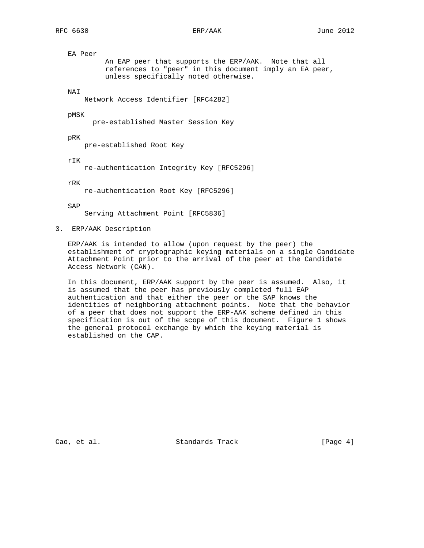EA Peer An EAP peer that supports the ERP/AAK. Note that all references to "peer" in this document imply an EA peer, unless specifically noted otherwise.

NAI

Network Access Identifier [RFC4282]

pMSK

pre-established Master Session Key

pRK

pre-established Root Key

rIK

re-authentication Integrity Key [RFC5296]

rRK

re-authentication Root Key [RFC5296]

SAP

Serving Attachment Point [RFC5836]

3. ERP/AAK Description

 ERP/AAK is intended to allow (upon request by the peer) the establishment of cryptographic keying materials on a single Candidate Attachment Point prior to the arrival of the peer at the Candidate Access Network (CAN).

 In this document, ERP/AAK support by the peer is assumed. Also, it is assumed that the peer has previously completed full EAP authentication and that either the peer or the SAP knows the identities of neighboring attachment points. Note that the behavior of a peer that does not support the ERP-AAK scheme defined in this specification is out of the scope of this document. Figure 1 shows the general protocol exchange by which the keying material is established on the CAP.

Cao, et al. Standards Track [Page 4]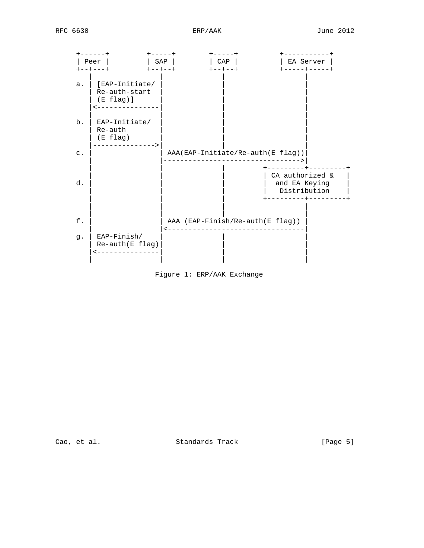

Figure 1: ERP/AAK Exchange

Cao, et al. Standards Track [Page 5]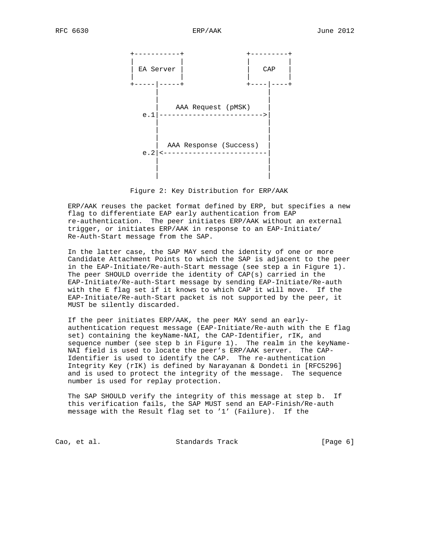

Figure 2: Key Distribution for ERP/AAK

 ERP/AAK reuses the packet format defined by ERP, but specifies a new flag to differentiate EAP early authentication from EAP re-authentication. The peer initiates ERP/AAK without an external trigger, or initiates ERP/AAK in response to an EAP-Initiate/ Re-Auth-Start message from the SAP.

 In the latter case, the SAP MAY send the identity of one or more Candidate Attachment Points to which the SAP is adjacent to the peer in the EAP-Initiate/Re-auth-Start message (see step a in Figure 1). The peer SHOULD override the identity of CAP(s) carried in the EAP-Initiate/Re-auth-Start message by sending EAP-Initiate/Re-auth with the E flag set if it knows to which CAP it will move. If the EAP-Initiate/Re-auth-Start packet is not supported by the peer, it MUST be silently discarded.

 If the peer initiates ERP/AAK, the peer MAY send an early authentication request message (EAP-Initiate/Re-auth with the E flag set) containing the keyName-NAI, the CAP-Identifier, rIK, and sequence number (see step b in Figure 1). The realm in the keyName- NAI field is used to locate the peer's ERP/AAK server. The CAP- Identifier is used to identify the CAP. The re-authentication Integrity Key (rIK) is defined by Narayanan & Dondeti in [RFC5296] and is used to protect the integrity of the message. The sequence number is used for replay protection.

 The SAP SHOULD verify the integrity of this message at step b. If this verification fails, the SAP MUST send an EAP-Finish/Re-auth message with the Result flag set to '1' (Failure). If the

Cao, et al. Standards Track [Page 6]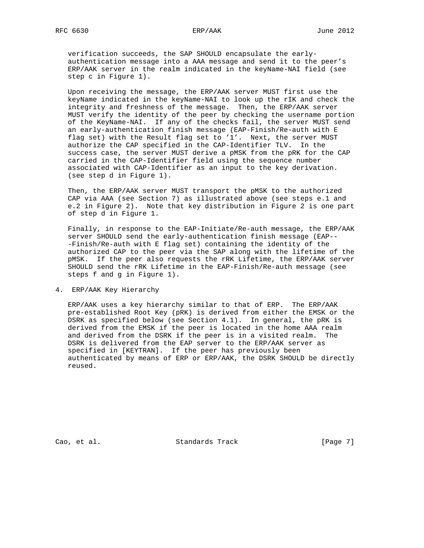verification succeeds, the SAP SHOULD encapsulate the early authentication message into a AAA message and send it to the peer's ERP/AAK server in the realm indicated in the keyName-NAI field (see step c in Figure 1).

 Upon receiving the message, the ERP/AAK server MUST first use the keyName indicated in the keyName-NAI to look up the rIK and check the integrity and freshness of the message. Then, the ERP/AAK server MUST verify the identity of the peer by checking the username portion of the KeyName-NAI. If any of the checks fail, the server MUST send an early-authentication finish message (EAP-Finish/Re-auth with E flag set) with the Result flag set to '1'. Next, the server MUST authorize the CAP specified in the CAP-Identifier TLV. In the success case, the server MUST derive a pMSK from the pRK for the CAP carried in the CAP-Identifier field using the sequence number associated with CAP-Identifier as an input to the key derivation. (see step d in Figure 1).

 Then, the ERP/AAK server MUST transport the pMSK to the authorized CAP via AAA (see Section 7) as illustrated above (see steps e.1 and e.2 in Figure 2). Note that key distribution in Figure 2 is one part of step d in Figure 1.

 Finally, in response to the EAP-Initiate/Re-auth message, the ERP/AAK server SHOULD send the early-authentication finish message (EAP-- -Finish/Re-auth with E flag set) containing the identity of the authorized CAP to the peer via the SAP along with the lifetime of the pMSK. If the peer also requests the rRK Lifetime, the ERP/AAK server SHOULD send the rRK Lifetime in the EAP-Finish/Re-auth message (see steps f and g in Figure 1).

4. ERP/AAK Key Hierarchy

 ERP/AAK uses a key hierarchy similar to that of ERP. The ERP/AAK pre-established Root Key (pRK) is derived from either the EMSK or the DSRK as specified below (see Section 4.1). In general, the pRK is derived from the EMSK if the peer is located in the home AAA realm and derived from the DSRK if the peer is in a visited realm. The DSRK is delivered from the EAP server to the ERP/AAK server as specified in [KEYTRAN]. If the peer has previously been authenticated by means of ERP or ERP/AAK, the DSRK SHOULD be directly reused.

Cao, et al. Standards Track [Page 7]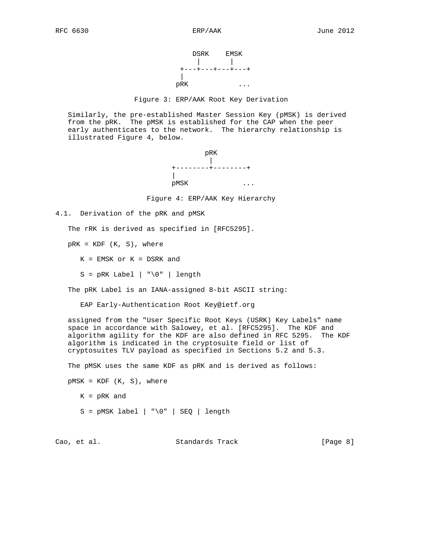

### Figure 3: ERP/AAK Root Key Derivation

 Similarly, the pre-established Master Session Key (pMSK) is derived from the pRK. The pMSK is established for the CAP when the peer early authenticates to the network. The hierarchy relationship is illustrated Figure 4, below.



Figure 4: ERP/AAK Key Hierarchy

4.1. Derivation of the pRK and pMSK

The rRK is derived as specified in [RFC5295].

 $pRK = KDF (K, S)$ , where

 $K = EMSK$  or  $K = DSRK$  and

 $S = pRK$  Label | "\0" | length

The pRK Label is an IANA-assigned 8-bit ASCII string:

EAP Early-Authentication Root Key@ietf.org

 assigned from the "User Specific Root Keys (USRK) Key Labels" name space in accordance with Salowey, et al. [RFC5295]. The KDF and algorithm agility for the KDF are also defined in RFC 5295. The KDF algorithm is indicated in the cryptosuite field or list of cryptosuites TLV payload as specified in Sections 5.2 and 5.3.

The pMSK uses the same KDF as pRK and is derived as follows:

 $pMSK = KDF (K, S)$ , where

K = pRK and

 $S = pMSK$  label | "\0" | SEQ | length

Cao, et al. Standards Track [Page 8]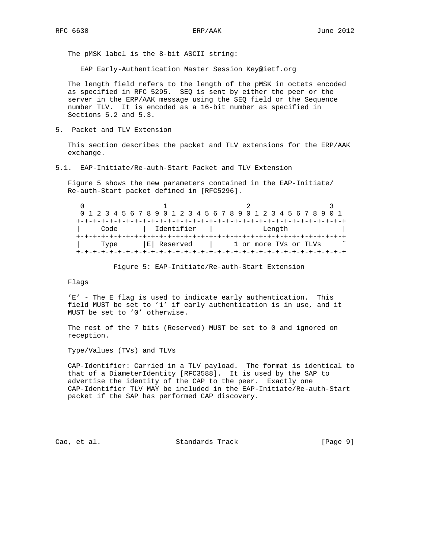The pMSK label is the 8-bit ASCII string:

EAP Early-Authentication Master Session Key@ietf.org

 The length field refers to the length of the pMSK in octets encoded as specified in RFC 5295. SEQ is sent by either the peer or the server in the ERP/AAK message using the SEQ field or the Sequence number TLV. It is encoded as a 16-bit number as specified in Sections 5.2 and 5.3.

5. Packet and TLV Extension

 This section describes the packet and TLV extensions for the ERP/AAK exchange.

## 5.1. EAP-Initiate/Re-auth-Start Packet and TLV Extension

 Figure 5 shows the new parameters contained in the EAP-Initiate/ Re-auth-Start packet defined in [RFC5296].

 $0$  and  $1$  and  $2$  3 0 1 2 3 4 5 6 7 8 9 0 1 2 3 4 5 6 7 8 9 0 1 2 3 4 5 6 7 8 9 0 1 +-+-+-+-+-+-+-+-+-+-+-+-+-+-+-+-+-+-+-+-+-+-+-+-+-+-+-+-+-+-+-+-+ | Code | Identifier | Length | +-+-+-+-+-+-+-+-+-+-+-+-+-+-+-+-+-+-+-+-+-+-+-+-+-+-+-+-+-+-+-+-+ Type  $|E|$  Reserved  $|$  1 or more TVs or TLVs  $\sim$ +-+-+-+-+-+-+-+-+-+-+-+-+-+-+-+-+-+-+-+-+-+-+-+-+-+-+-+-+-+-+-+-+

Figure 5: EAP-Initiate/Re-auth-Start Extension

Flags

 'E' - The E flag is used to indicate early authentication. This field MUST be set to '1' if early authentication is in use, and it MUST be set to '0' otherwise.

 The rest of the 7 bits (Reserved) MUST be set to 0 and ignored on reception.

Type/Values (TVs) and TLVs

 CAP-Identifier: Carried in a TLV payload. The format is identical to that of a DiameterIdentity [RFC3588]. It is used by the SAP to advertise the identity of the CAP to the peer. Exactly one CAP-Identifier TLV MAY be included in the EAP-Initiate/Re-auth-Start packet if the SAP has performed CAP discovery.

Cao, et al. Standards Track [Page 9]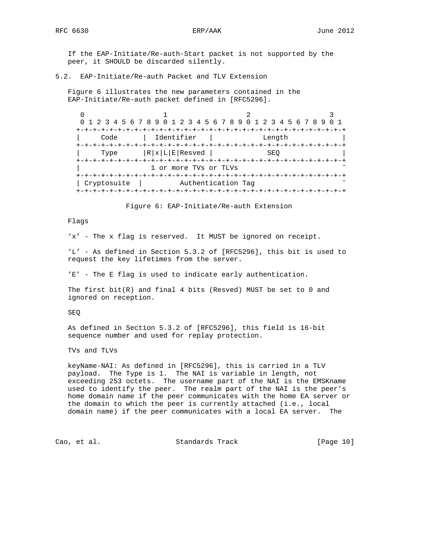If the EAP-Initiate/Re-auth-Start packet is not supported by the peer, it SHOULD be discarded silently.

## 5.2. EAP-Initiate/Re-auth Packet and TLV Extension

 Figure 6 illustrates the new parameters contained in the EAP-Initiate/Re-auth packet defined in [RFC5296].

 $0$  and  $1$  and  $2$  3 0 1 2 3 4 5 6 7 8 9 0 1 2 3 4 5 6 7 8 9 0 1 2 3 4 5 6 7 8 9 0 1 +-+-+-+-+-+-+-+-+-+-+-+-+-+-+-+-+-+-+-+-+-+-+-+-+-+-+-+-+-+-+-+-+ | Code | Identifier | Length | +-+-+-+-+-+-+-+-+-+-+-+-+-+-+-+-+-+-+-+-+-+-+-+-+-+-+-+-+-+-+-+-+  $\texttt{Type}$  |R|x|L|E|Resved | SEQ +-+-+-+-+-+-+-+-+-+-+-+-+-+-+-+-+-+-+-+-+-+-+-+-+-+-+-+-+-+-+-+-+ 1 or more TVs or TLVs +-+-+-+-+-+-+-+-+-+-+-+-+-+-+-+-+-+-+-+-+-+-+-+-+-+-+-+-+-+-+-+-+ | Cryptosuite | Authentication Tag +-+-+-+-+-+-+-+-+-+-+-+-+-+-+-+-+-+-+-+-+-+-+-+-+-+-+-+-+-+-+-+-+

Figure 6: EAP-Initiate/Re-auth Extension

## Flags

'x' - The x flag is reserved. It MUST be ignored on receipt.

 'L' - As defined in Section 5.3.2 of [RFC5296], this bit is used to request the key lifetimes from the server.

'E' - The E flag is used to indicate early authentication.

 The first bit(R) and final 4 bits (Resved) MUST be set to 0 and ignored on reception.

SEQ

 As defined in Section 5.3.2 of [RFC5296], this field is 16-bit sequence number and used for replay protection.

TVs and TLVs

 keyName-NAI: As defined in [RFC5296], this is carried in a TLV payload. The Type is 1. The NAI is variable in length, not exceeding 253 octets. The username part of the NAI is the EMSKname used to identify the peer. The realm part of the NAI is the peer's home domain name if the peer communicates with the home EA server or the domain to which the peer is currently attached (i.e., local domain name) if the peer communicates with a local EA server. The

Cao, et al. Standards Track [Page 10]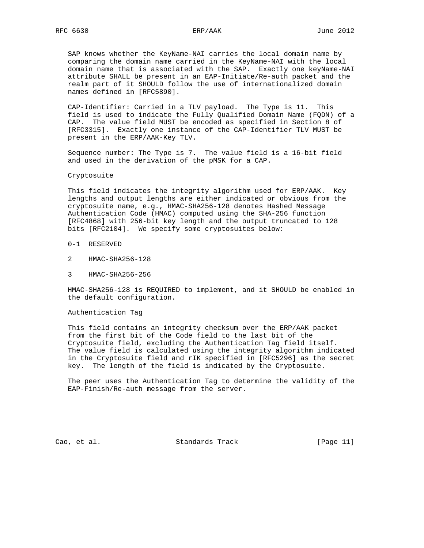SAP knows whether the KeyName-NAI carries the local domain name by comparing the domain name carried in the KeyName-NAI with the local domain name that is associated with the SAP. Exactly one keyName-NAI attribute SHALL be present in an EAP-Initiate/Re-auth packet and the realm part of it SHOULD follow the use of internationalized domain names defined in [RFC5890].

 CAP-Identifier: Carried in a TLV payload. The Type is 11. This field is used to indicate the Fully Qualified Domain Name (FQDN) of a CAP. The value field MUST be encoded as specified in Section 8 of [RFC3315]. Exactly one instance of the CAP-Identifier TLV MUST be present in the ERP/AAK-Key TLV.

 Sequence number: The Type is 7. The value field is a 16-bit field and used in the derivation of the pMSK for a CAP.

### Cryptosuite

 This field indicates the integrity algorithm used for ERP/AAK. Key lengths and output lengths are either indicated or obvious from the cryptosuite name, e.g., HMAC-SHA256-128 denotes Hashed Message Authentication Code (HMAC) computed using the SHA-256 function [RFC4868] with 256-bit key length and the output truncated to 128 bits [RFC2104]. We specify some cryptosuites below:

- 0-1 RESERVED
- 2 HMAC-SHA256-128
- 3 HMAC-SHA256-256

 HMAC-SHA256-128 is REQUIRED to implement, and it SHOULD be enabled in the default configuration.

Authentication Tag

 This field contains an integrity checksum over the ERP/AAK packet from the first bit of the Code field to the last bit of the Cryptosuite field, excluding the Authentication Tag field itself. The value field is calculated using the integrity algorithm indicated in the Cryptosuite field and rIK specified in [RFC5296] as the secret key. The length of the field is indicated by the Cryptosuite.

 The peer uses the Authentication Tag to determine the validity of the EAP-Finish/Re-auth message from the server.

Cao, et al. Standards Track [Page 11]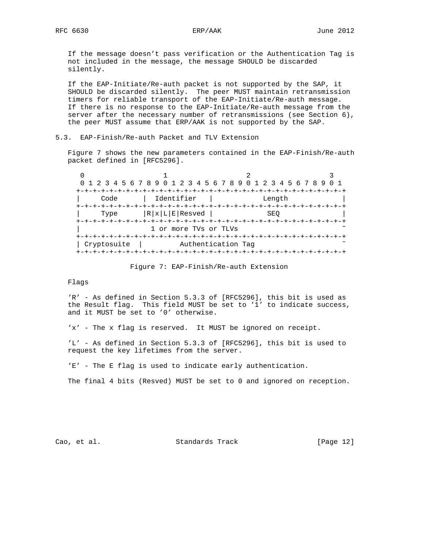If the message doesn't pass verification or the Authentication Tag is not included in the message, the message SHOULD be discarded silently.

 If the EAP-Initiate/Re-auth packet is not supported by the SAP, it SHOULD be discarded silently. The peer MUST maintain retransmission timers for reliable transport of the EAP-Initiate/Re-auth message. If there is no response to the EAP-Initiate/Re-auth message from the server after the necessary number of retransmissions (see Section 6), the peer MUST assume that ERP/AAK is not supported by the SAP.

## 5.3. EAP-Finish/Re-auth Packet and TLV Extension

 Figure 7 shows the new parameters contained in the EAP-Finish/Re-auth packet defined in [RFC5296].

| 0 1 2 3 4 5 6 7 8 9 0 1 2 3 4 5 6 7 8 9 0 1 2 3 4 5 6 7 8 9 |                       |                    |  |
|-------------------------------------------------------------|-----------------------|--------------------|--|
|                                                             |                       |                    |  |
| Code                                                        | Identifier            | Length             |  |
|                                                             |                       |                    |  |
| Type                                                        | $RxLE$ Resved         | SEO                |  |
|                                                             | 1 or more TVs or TLVs |                    |  |
|                                                             |                       |                    |  |
| Cryptosuite                                                 |                       | Authentication Tag |  |
|                                                             |                       |                    |  |

### Figure 7: EAP-Finish/Re-auth Extension

## Flags

 'R' - As defined in Section 5.3.3 of [RFC5296], this bit is used as the Result flag. This field MUST be set to '1' to indicate success, and it MUST be set to '0' otherwise.

'x' - The x flag is reserved. It MUST be ignored on receipt.

 'L' - As defined in Section 5.3.3 of [RFC5296], this bit is used to request the key lifetimes from the server.

'E' - The E flag is used to indicate early authentication.

The final 4 bits (Resved) MUST be set to 0 and ignored on reception.

Cao, et al. Standards Track [Page 12]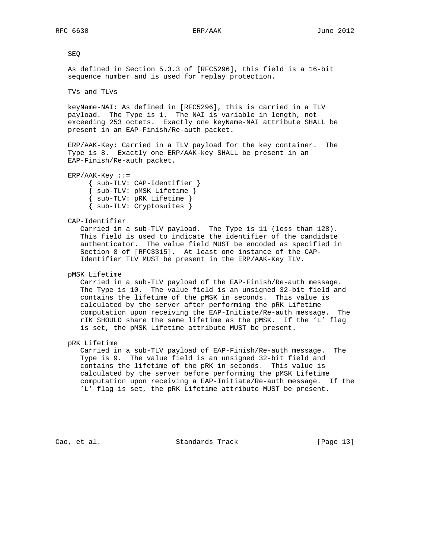SEQ

 As defined in Section 5.3.3 of [RFC5296], this field is a 16-bit sequence number and is used for replay protection.

TVs and TLVs

 keyName-NAI: As defined in [RFC5296], this is carried in a TLV payload. The Type is 1. The NAI is variable in length, not exceeding 253 octets. Exactly one keyName-NAI attribute SHALL be present in an EAP-Finish/Re-auth packet.

 ERP/AAK-Key: Carried in a TLV payload for the key container. The Type is 8. Exactly one ERP/AAK-key SHALL be present in an EAP-Finish/Re-auth packet.

 $ERP / AAK-Key ::=$  { sub-TLV: CAP-Identifier } { sub-TLV: pMSK Lifetime } { sub-TLV: pRK Lifetime } { sub-TLV: Cryptosuites }

CAP-Identifier

 Carried in a sub-TLV payload. The Type is 11 (less than 128). This field is used to indicate the identifier of the candidate authenticator. The value field MUST be encoded as specified in Section 8 of [RFC3315]. At least one instance of the CAP- Identifier TLV MUST be present in the ERP/AAK-Key TLV.

pMSK Lifetime

 Carried in a sub-TLV payload of the EAP-Finish/Re-auth message. The Type is 10. The value field is an unsigned 32-bit field and contains the lifetime of the pMSK in seconds. This value is calculated by the server after performing the pRK Lifetime computation upon receiving the EAP-Initiate/Re-auth message. The rIK SHOULD share the same lifetime as the pMSK. If the 'L' flag is set, the pMSK Lifetime attribute MUST be present.

pRK Lifetime

 Carried in a sub-TLV payload of EAP-Finish/Re-auth message. The Type is 9. The value field is an unsigned 32-bit field and contains the lifetime of the pRK in seconds. This value is calculated by the server before performing the pMSK Lifetime computation upon receiving a EAP-Initiate/Re-auth message. If the 'L' flag is set, the pRK Lifetime attribute MUST be present.

Cao, et al. Standards Track [Page 13]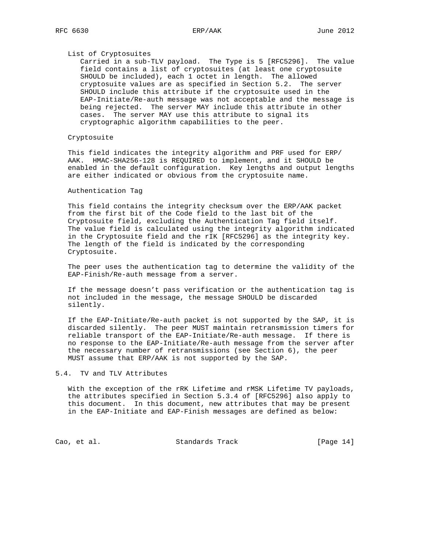### List of Cryptosuites

 Carried in a sub-TLV payload. The Type is 5 [RFC5296]. The value field contains a list of cryptosuites (at least one cryptosuite SHOULD be included), each 1 octet in length. The allowed cryptosuite values are as specified in Section 5.2. The server SHOULD include this attribute if the cryptosuite used in the EAP-Initiate/Re-auth message was not acceptable and the message is being rejected. The server MAY include this attribute in other cases. The server MAY use this attribute to signal its cryptographic algorithm capabilities to the peer.

## Cryptosuite

 This field indicates the integrity algorithm and PRF used for ERP/ AAK. HMAC-SHA256-128 is REQUIRED to implement, and it SHOULD be enabled in the default configuration. Key lengths and output lengths are either indicated or obvious from the cryptosuite name.

### Authentication Tag

 This field contains the integrity checksum over the ERP/AAK packet from the first bit of the Code field to the last bit of the Cryptosuite field, excluding the Authentication Tag field itself. The value field is calculated using the integrity algorithm indicated in the Cryptosuite field and the rIK [RFC5296] as the integrity key. The length of the field is indicated by the corresponding Cryptosuite.

 The peer uses the authentication tag to determine the validity of the EAP-Finish/Re-auth message from a server.

 If the message doesn't pass verification or the authentication tag is not included in the message, the message SHOULD be discarded silently.

 If the EAP-Initiate/Re-auth packet is not supported by the SAP, it is discarded silently. The peer MUST maintain retransmission timers for reliable transport of the EAP-Initiate/Re-auth message. If there is no response to the EAP-Initiate/Re-auth message from the server after the necessary number of retransmissions (see Section 6), the peer MUST assume that ERP/AAK is not supported by the SAP.

## 5.4. TV and TLV Attributes

 With the exception of the rRK Lifetime and rMSK Lifetime TV payloads, the attributes specified in Section 5.3.4 of [RFC5296] also apply to this document. In this document, new attributes that may be present in the EAP-Initiate and EAP-Finish messages are defined as below:

Cao, et al. Standards Track [Page 14]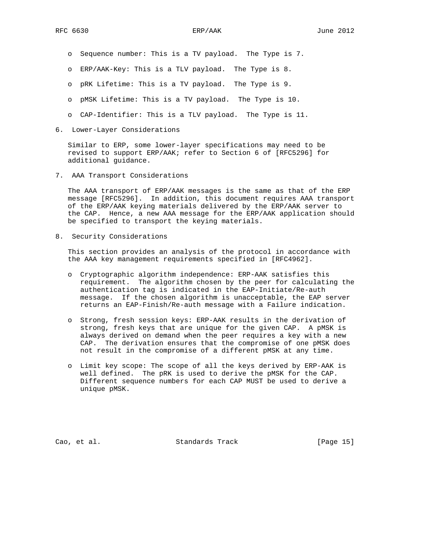- o Sequence number: This is a TV payload. The Type is 7.
- o ERP/AAK-Key: This is a TLV payload. The Type is 8.
- o pRK Lifetime: This is a TV payload. The Type is 9.
- o pMSK Lifetime: This is a TV payload. The Type is 10.
- o CAP-Identifier: This is a TLV payload. The Type is 11.
- 6. Lower-Layer Considerations

 Similar to ERP, some lower-layer specifications may need to be revised to support ERP/AAK; refer to Section 6 of [RFC5296] for additional guidance.

7. AAA Transport Considerations

 The AAA transport of ERP/AAK messages is the same as that of the ERP message [RFC5296]. In addition, this document requires AAA transport of the ERP/AAK keying materials delivered by the ERP/AAK server to the CAP. Hence, a new AAA message for the ERP/AAK application should be specified to transport the keying materials.

8. Security Considerations

 This section provides an analysis of the protocol in accordance with the AAA key management requirements specified in [RFC4962].

- o Cryptographic algorithm independence: ERP-AAK satisfies this requirement. The algorithm chosen by the peer for calculating the authentication tag is indicated in the EAP-Initiate/Re-auth message. If the chosen algorithm is unacceptable, the EAP server returns an EAP-Finish/Re-auth message with a Failure indication.
- o Strong, fresh session keys: ERP-AAK results in the derivation of strong, fresh keys that are unique for the given CAP. A pMSK is always derived on demand when the peer requires a key with a new CAP. The derivation ensures that the compromise of one pMSK does not result in the compromise of a different pMSK at any time.
- o Limit key scope: The scope of all the keys derived by ERP-AAK is well defined. The pRK is used to derive the pMSK for the CAP. Different sequence numbers for each CAP MUST be used to derive a unique pMSK.

Cao, et al. Standards Track [Page 15]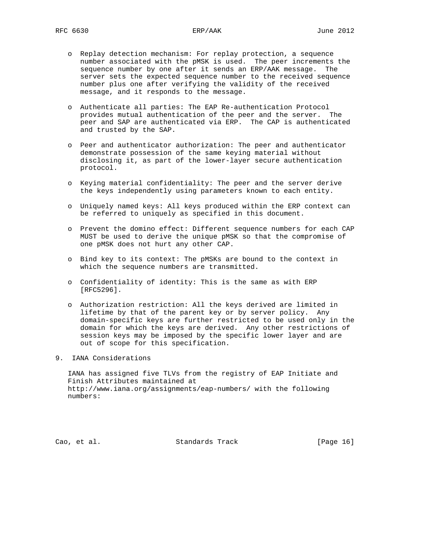- o Replay detection mechanism: For replay protection, a sequence number associated with the pMSK is used. The peer increments the sequence number by one after it sends an ERP/AAK message. The server sets the expected sequence number to the received sequence number plus one after verifying the validity of the received message, and it responds to the message.
- o Authenticate all parties: The EAP Re-authentication Protocol provides mutual authentication of the peer and the server. The peer and SAP are authenticated via ERP. The CAP is authenticated and trusted by the SAP.
- o Peer and authenticator authorization: The peer and authenticator demonstrate possession of the same keying material without disclosing it, as part of the lower-layer secure authentication protocol.
- o Keying material confidentiality: The peer and the server derive the keys independently using parameters known to each entity.
- o Uniquely named keys: All keys produced within the ERP context can be referred to uniquely as specified in this document.
- o Prevent the domino effect: Different sequence numbers for each CAP MUST be used to derive the unique pMSK so that the compromise of one pMSK does not hurt any other CAP.
- o Bind key to its context: The pMSKs are bound to the context in which the sequence numbers are transmitted.
- o Confidentiality of identity: This is the same as with ERP [RFC5296].
- o Authorization restriction: All the keys derived are limited in lifetime by that of the parent key or by server policy. Any domain-specific keys are further restricted to be used only in the domain for which the keys are derived. Any other restrictions of session keys may be imposed by the specific lower layer and are out of scope for this specification.
- 9. IANA Considerations

 IANA has assigned five TLVs from the registry of EAP Initiate and Finish Attributes maintained at http://www.iana.org/assignments/eap-numbers/ with the following numbers:

Cao, et al. Standards Track [Page 16]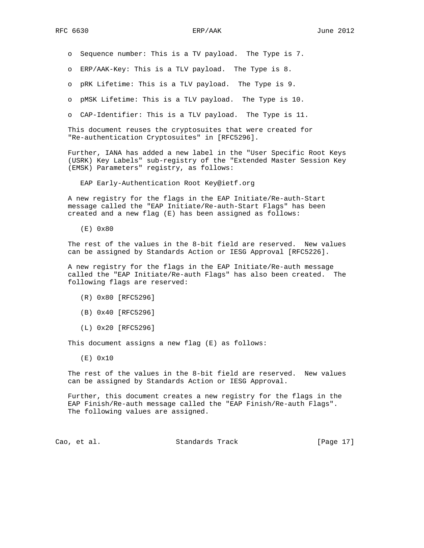o Sequence number: This is a TV payload. The Type is 7.

o ERP/AAK-Key: This is a TLV payload. The Type is 8.

o pRK Lifetime: This is a TLV payload. The Type is 9.

o pMSK Lifetime: This is a TLV payload. The Type is 10.

o CAP-Identifier: This is a TLV payload. The Type is 11.

 This document reuses the cryptosuites that were created for "Re-authentication Cryptosuites" in [RFC5296].

 Further, IANA has added a new label in the "User Specific Root Keys (USRK) Key Labels" sub-registry of the "Extended Master Session Key (EMSK) Parameters" registry, as follows:

EAP Early-Authentication Root Key@ietf.org

 A new registry for the flags in the EAP Initiate/Re-auth-Start message called the "EAP Initiate/Re-auth-Start Flags" has been created and a new flag (E) has been assigned as follows:

(E) 0x80

 The rest of the values in the 8-bit field are reserved. New values can be assigned by Standards Action or IESG Approval [RFC5226].

 A new registry for the flags in the EAP Initiate/Re-auth message called the "EAP Initiate/Re-auth Flags" has also been created. The following flags are reserved:

- (R) 0x80 [RFC5296]
- (B) 0x40 [RFC5296]
- (L) 0x20 [RFC5296]

This document assigns a new flag (E) as follows:

(E) 0x10

 The rest of the values in the 8-bit field are reserved. New values can be assigned by Standards Action or IESG Approval.

 Further, this document creates a new registry for the flags in the EAP Finish/Re-auth message called the "EAP Finish/Re-auth Flags". The following values are assigned.

Cao, et al. Standards Track [Page 17]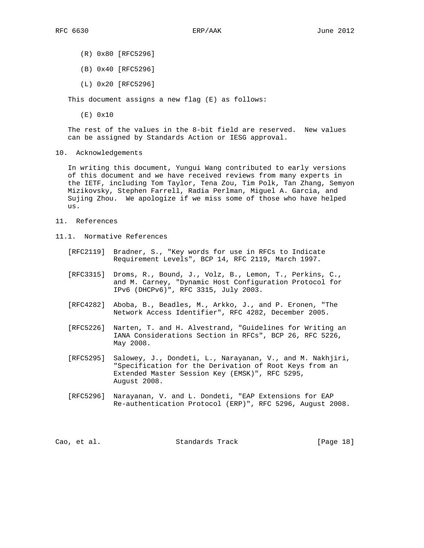- (R) 0x80 [RFC5296]
- (B) 0x40 [RFC5296]
- (L) 0x20 [RFC5296]

This document assigns a new flag (E) as follows:

(E) 0x10

 The rest of the values in the 8-bit field are reserved. New values can be assigned by Standards Action or IESG approval.

10. Acknowledgements

 In writing this document, Yungui Wang contributed to early versions of this document and we have received reviews from many experts in the IETF, including Tom Taylor, Tena Zou, Tim Polk, Tan Zhang, Semyon Mizikovsky, Stephen Farrell, Radia Perlman, Miguel A. Garcia, and Sujing Zhou. We apologize if we miss some of those who have helped us.

- 11. References
- 11.1. Normative References
	- [RFC2119] Bradner, S., "Key words for use in RFCs to Indicate Requirement Levels", BCP 14, RFC 2119, March 1997.
	- [RFC3315] Droms, R., Bound, J., Volz, B., Lemon, T., Perkins, C., and M. Carney, "Dynamic Host Configuration Protocol for IPv6 (DHCPv6)", RFC 3315, July 2003.
	- [RFC4282] Aboba, B., Beadles, M., Arkko, J., and P. Eronen, "The Network Access Identifier", RFC 4282, December 2005.
	- [RFC5226] Narten, T. and H. Alvestrand, "Guidelines for Writing an IANA Considerations Section in RFCs", BCP 26, RFC 5226, May 2008.
	- [RFC5295] Salowey, J., Dondeti, L., Narayanan, V., and M. Nakhjiri, "Specification for the Derivation of Root Keys from an Extended Master Session Key (EMSK)", RFC 5295, August 2008.
	- [RFC5296] Narayanan, V. and L. Dondeti, "EAP Extensions for EAP Re-authentication Protocol (ERP)", RFC 5296, August 2008.

|  | Cao, et al. | Standards Track | [Page 18] |  |  |
|--|-------------|-----------------|-----------|--|--|
|--|-------------|-----------------|-----------|--|--|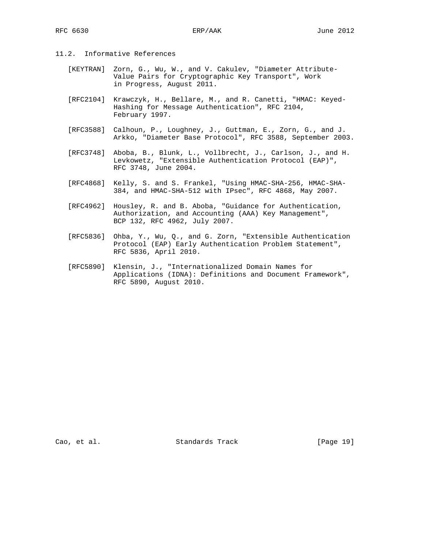- 11.2. Informative References
	- [KEYTRAN] Zorn, G., Wu, W., and V. Cakulev, "Diameter Attribute- Value Pairs for Cryptographic Key Transport", Work in Progress, August 2011.
	- [RFC2104] Krawczyk, H., Bellare, M., and R. Canetti, "HMAC: Keyed- Hashing for Message Authentication", RFC 2104, February 1997.
	- [RFC3588] Calhoun, P., Loughney, J., Guttman, E., Zorn, G., and J. Arkko, "Diameter Base Protocol", RFC 3588, September 2003.
	- [RFC3748] Aboba, B., Blunk, L., Vollbrecht, J., Carlson, J., and H. Levkowetz, "Extensible Authentication Protocol (EAP)", RFC 3748, June 2004.
	- [RFC4868] Kelly, S. and S. Frankel, "Using HMAC-SHA-256, HMAC-SHA- 384, and HMAC-SHA-512 with IPsec", RFC 4868, May 2007.
	- [RFC4962] Housley, R. and B. Aboba, "Guidance for Authentication, Authorization, and Accounting (AAA) Key Management", BCP 132, RFC 4962, July 2007.
	- [RFC5836] Ohba, Y., Wu, Q., and G. Zorn, "Extensible Authentication Protocol (EAP) Early Authentication Problem Statement", RFC 5836, April 2010.
	- [RFC5890] Klensin, J., "Internationalized Domain Names for Applications (IDNA): Definitions and Document Framework", RFC 5890, August 2010.

Cao, et al. Standards Track [Page 19]